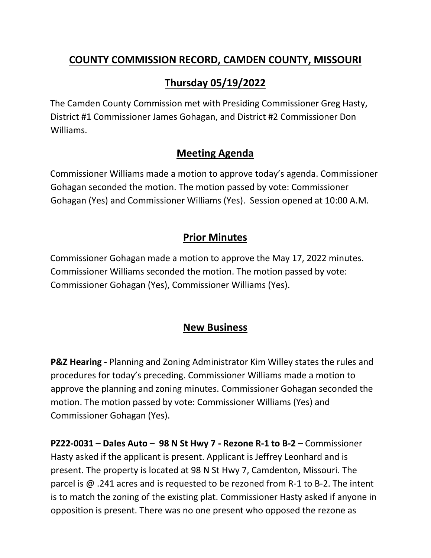### **COUNTY COMMISSION RECORD, CAMDEN COUNTY, MISSOURI**

# **Thursday 05/19/2022**

The Camden County Commission met with Presiding Commissioner Greg Hasty, District #1 Commissioner James Gohagan, and District #2 Commissioner Don Williams.

#### **Meeting Agenda**

Commissioner Williams made a motion to approve today's agenda. Commissioner Gohagan seconded the motion. The motion passed by vote: Commissioner Gohagan (Yes) and Commissioner Williams (Yes). Session opened at 10:00 A.M.

## **Prior Minutes**

Commissioner Gohagan made a motion to approve the May 17, 2022 minutes. Commissioner Williams seconded the motion. The motion passed by vote: Commissioner Gohagan (Yes), Commissioner Williams (Yes).

#### **New Business**

**P&Z Hearing -** Planning and Zoning Administrator Kim Willey states the rules and procedures for today's preceding. Commissioner Williams made a motion to approve the planning and zoning minutes. Commissioner Gohagan seconded the motion. The motion passed by vote: Commissioner Williams (Yes) and Commissioner Gohagan (Yes).

**PZ22-0031 – Dales Auto – 98 N St Hwy 7 - Rezone R-1 to B-2 –** Commissioner Hasty asked if the applicant is present. Applicant is Jeffrey Leonhard and is present. The property is located at 98 N St Hwy 7, Camdenton, Missouri. The parcel is @ .241 acres and is requested to be rezoned from R-1 to B-2. The intent is to match the zoning of the existing plat. Commissioner Hasty asked if anyone in opposition is present. There was no one present who opposed the rezone as